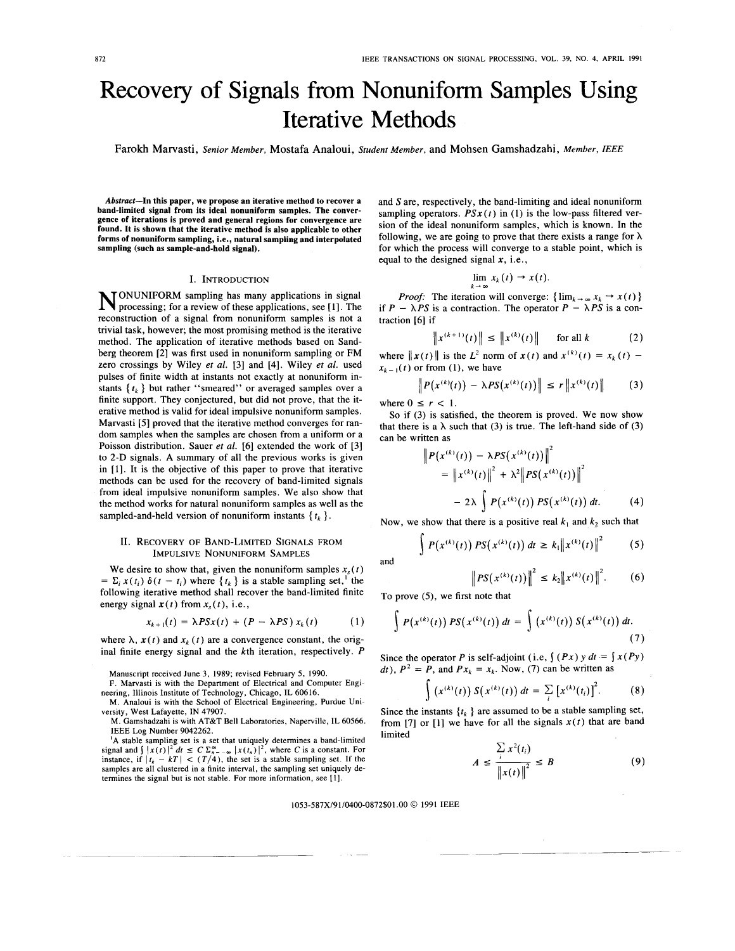# Recovery of Signals from Nonuniform Samples Using Iterative Methods

Farokh Marvasti, *Senior Member,* Mostafa Analoui, *Student Member,* and Mohsen Gamshadzahi, *Member,* IEEE

**Abstract-In this paper, we propose an iterative method to recover a band-limited signal from its ideal nonuniform samples. The convergence of iterations is proved and general regions for convergence are found. It is shown that the iterative method is also applicable to other forms of nonuniform sampling, i.e., natural sampling and interpolated sampling (such as sample-and-hold signal).** 

#### I. INTRODUCTION

ONUNIFORM sampling has many applications in signal N processing; for a review of these applications, see [ 11. The reconstruction of a signal from nonuniform samples is not a trivial task, however; the most promising method is the iterative method. The application of iterative methods based on Sandberg theorem [2] was first used in nonuniform sampling or FM zero crossings by Wiley et al. **[3]** and **[4].** Wiley et al. used pulses of finite width at instants not exactly at nonuniform instants  $\{t_k\}$  but rather "smeared" or averaged samples over a finite support. They conjectured, but did not prove, that the iterative method is valid for ideal impulsive nonuniform samples. Marvasti **[5]** proved that the iterative method converges for random samples when the samples are chosen from a uniform or a Poisson distribution. Sauer *et* al. **[6]** extended the work of **[3]**  to 2-D signals. A summary of all the previous works is given in [I]. It is the objective of this paper to prove that iterative methods can be used for the recovery of band-limited signals from ideal impulsive nonuniform samples. We also show that the method works for natural nonuniform samples as well as the sampled-and-held version of nonuniform instants  $\{t_k\}$ .

# 11. RECOVERY OF BAND-LIMITED SIGNALS FROM IMPULSIVE NONUNIFORM SAMPLES

We desire to show that, given the nonuniform samples  $x<sub>s</sub>(t)$ =  $\Sigma_i x(t_i) \delta(t - t_i)$  where  $\{t_k\}$  is a stable sampling set,<sup>1</sup> the following iterative method shall recover the band-limited finite energy signal  $x(t)$  from  $x<sub>s</sub>(t)$ , i.e.,

$$
x_{k+1}(t) = \lambda PSx(t) + (P - \lambda PS) x_k(t)
$$
 (1)

where  $\lambda$ ,  $\mathbf{x}(t)$  and  $x_k(t)$  are a convergence constant, the original finite energy signal and the kth iteration, respectively. *P* 

M. Gamshadzahi is with AT&T Bell Laboratories, Naperville, IL 60566. IEEE Log Number 9042262.

'A stable sampling set is a **set** that uniquely determines a band-limited signal and  $\int |x(t)|^2 dt \leq C \sum_{n=-\infty}^{\infty} |x(t_n)|^2$ , where C is a constant. For instance, if  $|t_k - kT| < (T/4)$ , the set is a stable sampling set. If the samples are all clustered in a finite interval, the sampling set uniquely determines the signal but is not stable. For more information, see **111.** 

and *S* are, respectively, the band-limiting and ideal nonuniform sampling operators.  $PSx(t)$  in (1) is the low-pass filtered version of the ideal nonuniform samples, which is known. In the following, we are going to prove that there exists a range for  $\lambda$ for which the process will converge to a stable point, which is equal to the designed signal **x,** i.e.,

$$
\lim_{k\to\infty}x_k(t)\to x(t).
$$

*Proof:* The iteration will converge:  $\{\lim_{k \to \infty} x_k \to x(t)\}$ *Proof:* The iteration will converge:  $\{\lim_{k \to \infty} x_k \to x(t)\}$ <br>if  $P - \lambda PS$  is a contraction. The operator  $P - \lambda PS$  is a contraction **[6]** if IS a contraction. The operator  $P = \lambda PS$  is a con-<br>  $\left\| x^{(k+1)}(t) \right\| \leq \left\| x^{(k)}(t) \right\|$  for all *k* (2)

$$
\|x^{(k+1)}(t)\| \le \|x^{(k)}(t)\| \quad \text{for all } k \tag{2}
$$

where  $||x(t)||$  is the *L*<sup>2</sup> norm of  $x(t)$  and  $x^{(k)}(t) = x_k(t)$  $x_{k-1}(t)$  or from (1), we have

$$
\begin{aligned} \left\|x(t)\right\| \text{ is the } L^* \text{ norm of } \mathbf{x}(t) \text{ and } x^{(k)}(t) = x_k(t) - \\ \text{or from (1), we have} \\ \left\|P\big(x^{(k)}(t)\big) - \lambda PS\big(x^{(k)}(t)\big)\right\| \le r \left\|x^{(k)}(t)\right\| \end{aligned} \tag{3}
$$

where  $0 \leq r < 1$ .

So if **(3)** is satisfied, the theorem is proved. We now show that there is a  $\lambda$  such that (3) is true. The left-hand side of (3) can be written as

$$
\|P(x^{(k)}(t)) - \lambda PS(x^{(k)}(t))\|^2
$$
  
=  $||x^{(k)}(t)||^2 + \lambda^2 ||PS(x^{(k)}(t))||^2$   
 $- 2\lambda \int P(x^{(k)}(t)) PS(x^{(k)}(t)) dt.$  (4)

Now, we show that there is a positive real  $k_1$  and  $k_2$  such that

$$
\int P(x^{(k)}(t)) PS(x^{(k)}(t)) dt \ge k_1 ||x^{(k)}(t)||^2
$$
 (5)

and

$$
\left\| PS(x^{(k)}(t)) \right\|^2 \leq k_2 \left\| x^{(k)}(t) \right\|^2. \tag{6}
$$

To prove *(3,* we first note that

$$
\int P(x^{(k)}(t)) PS(x^{(k)}(t)) dt = \int (x^{(k)}(t)) S(x^{(k)}(t)) dt.
$$
\n(7)

Since the operator *P* is self-adjoint (i.e,  $\int (Px) y dt = \int x(Py)$ ) *dt*),  $P^2 = P$ , and  $Px_k = x_k$ . Now, (7) can be written as

$$
\int (x^{(k)}(t)) S(x^{(k)}(t)) dt = \sum_{i} [x^{(k)}(t_i)]^{2}.
$$
 (8)

Since the instants  $\{t_k\}$  are assumed to be a stable sampling set, from [7] or [1] we have for all the signals  $x(t)$  that are band limited

$$
A \le \frac{\sum_{i} x^{2}(t_i)}{\left\|x(t)\right\|^2} \le B
$$
 (9)

#### **1053-587X/91/0400-0872\$01** .OO *0* 1991 IEEE

Manuscript received June 3, 1989; revised February 5, 1990.

F. Marvasti is with the Department of Electrical and Computer Engi-

neering, Illinois Institute of Technology, Chicago, IL 60616. M. Analoui is with the School of Electrical Engineering, Purdue University, West Lafayette, IN 47907.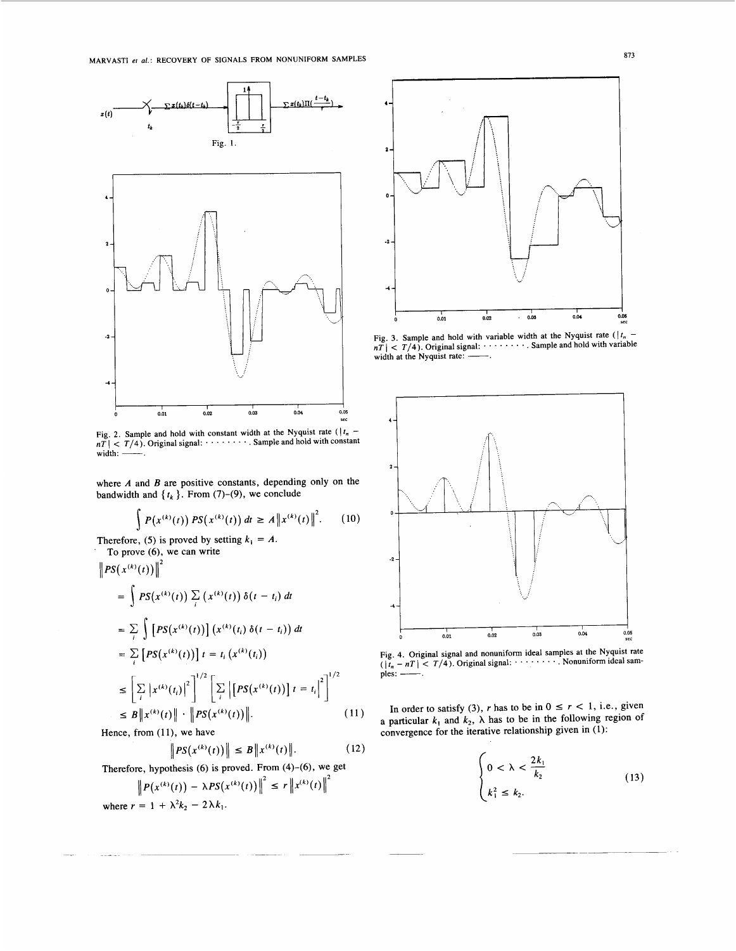

Fig. 2. Sample and hold with constant width at the Nyquist rate  $(1t_n$ width: ---. *nT* 1 < *T/4).* Original signal: ........ . Sample and hold with constant

where *A* and *B* are positive constants, depending only on the bandwidth and  $\{t_k\}$ . From (7)-(9), we conclude

$$
\int P(x^{(k)}(t)) PS(x^{(k)}(t)) dt \ge A ||x^{(k)}(t)||^2.
$$
 (10)

Therefore, (5) is proved by setting  $k_1 = A$ .<br>To prove (6), we can write

$$
\|PS(x^{(k)}(t))\|^2 = \int PS(x^{(k)}(t)) \sum_i (x^{(k)}(t)) \delta(t - t_i) dt
$$
  
\n
$$
= \sum_i \int [PS(x^{(k)}(t))] (x^{(k)}(t_i) \delta(t - t_i)) dt
$$
  
\n
$$
= \sum_i [PS(x^{(k)}(t))] t = t_i (x^{(k)}(t_i))
$$
  
\n
$$
\leq \left[ \sum_i |x^{(k)}(t_i)|^2 \right]^{1/2} \left[ \sum_i |[PS(x^{(k)}(t))] t = t_i \right]^{2}^{1/2}
$$
  
\n
$$
\leq B \|x^{(k)}(t)\| \cdot \|PS(x^{(k)}(t))\|. \tag{11}
$$

Hence, from (11), we have

$$
\|PS(x^{(k)}(t))\| \le B \|x^{(k)}(t)\|.
$$
 (12)

Therefore, hypothesis  $(6)$  is proved. From  $(4)-(6)$ , we get

$$
\left\|P(x^{(k)}(t)) - \lambda PS(x^{(k)}(t))\right\|^2 \le r \left\|x^{(k)}(t)\right\|^2
$$
  
where  $r = 1 + \lambda^2 k_2 - 2\lambda k_1$ .



**Fig. 3. Sample and hold with variable width at the Nyquist rate**  $(|t_n - nT| < T/4)$ **. Original signal: ......... Sample and hold with variable** width at the Nyquist rate:  $-$ 



Fig. 4. Original signal and nonuniform ideal samples at the Nyquist rate  $(|t_n - nT| < T/4)$ . Original signal: ......... Nonuniform ideal samples: -

In order to satisfy (3), *r* has to be in  $0 \le r < 1$ , i.e., given a particular  $k_1$  and  $k_2$ ,  $\lambda$  has to be in the following region of convergence for the iterative relationship given in **(1):** 

$$
\begin{cases} 0 < \lambda < \frac{2k_1}{k_2} \\ k_1^2 \le k_2. \end{cases} \tag{13}
$$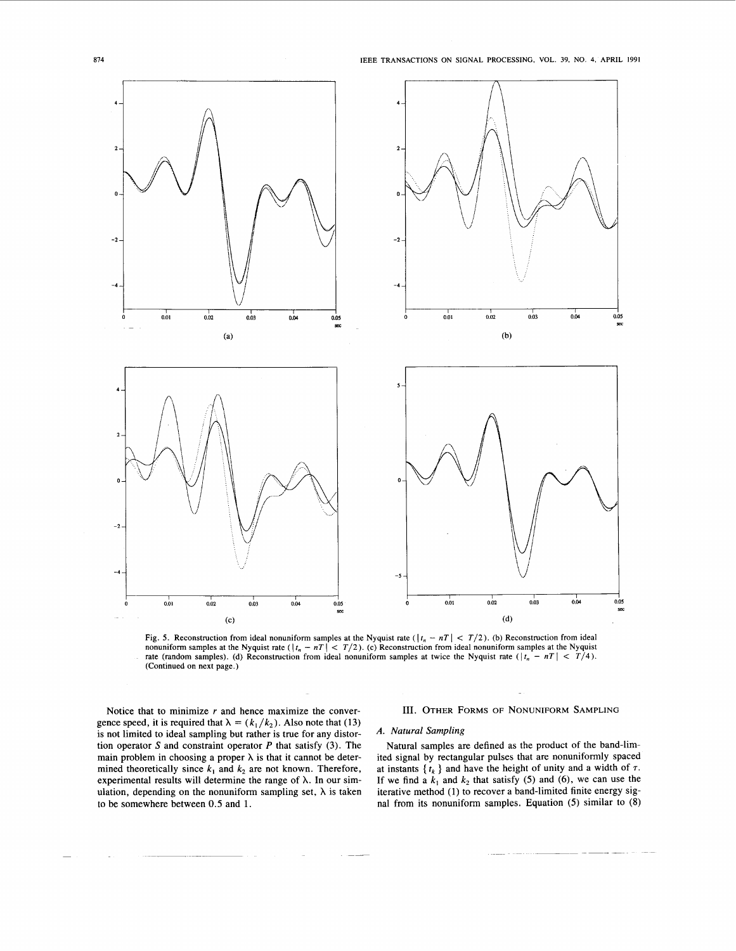<span id="page-2-0"></span>

Fig. 5. Reconstruction from ideal nonuniform samples at the Nyquist rate  $(|t_n - nT| < T/2)$ . (b) Reconstruction from ideal nonuniform samples at the Nyquist rate  $(|t_n - nT| < T/2)$ . (c) Reconstruction from ideal nonuniform sample nonuniform samples at the Nyquist rate  $(|t_n - nT| < T/2)$ . (c) Reconstruction from ideal nonuniform samples at the Nyquist rate  $(|t_n - nT| < T/4)$ . (Continued on next page.)

Notice that to minimize *r* and hence maximize the convergence speed, it is required that  $\lambda = (k_1/k_2)$ . Also note that (13) is not limited to ideal sampling but rather is true for any distortion operator *S* and constraint operator *P* that satisfy (3). The main problem in choosing a proper  $\lambda$  is that it cannot be determined theoretically since  $k_1$  and  $k_2$  are not known. Therefore, experimental results will determine the range of  $\lambda$ . In our simulation, depending on the nonuniform sampling set,  $\lambda$  is taken to be somewhere between 0.5 and 1.

## **111.** OTHER FORMS OF NONUNIFORM SAMPLING

# *A. Natural Sampling*

Natural samples are defined as the product of the band-limited signal by rectangular pulses that are nonuniformly spaced at instants  $\{t_k\}$  and have the height of unity and a width of  $\tau$ . If we find a  $k_1$  and  $k_2$  that satisfy (5) and (6), we can use the iterative method (1) to recover a band-limited finite energy signal from its nonuniform samples. Equation *(5)* similar to (8)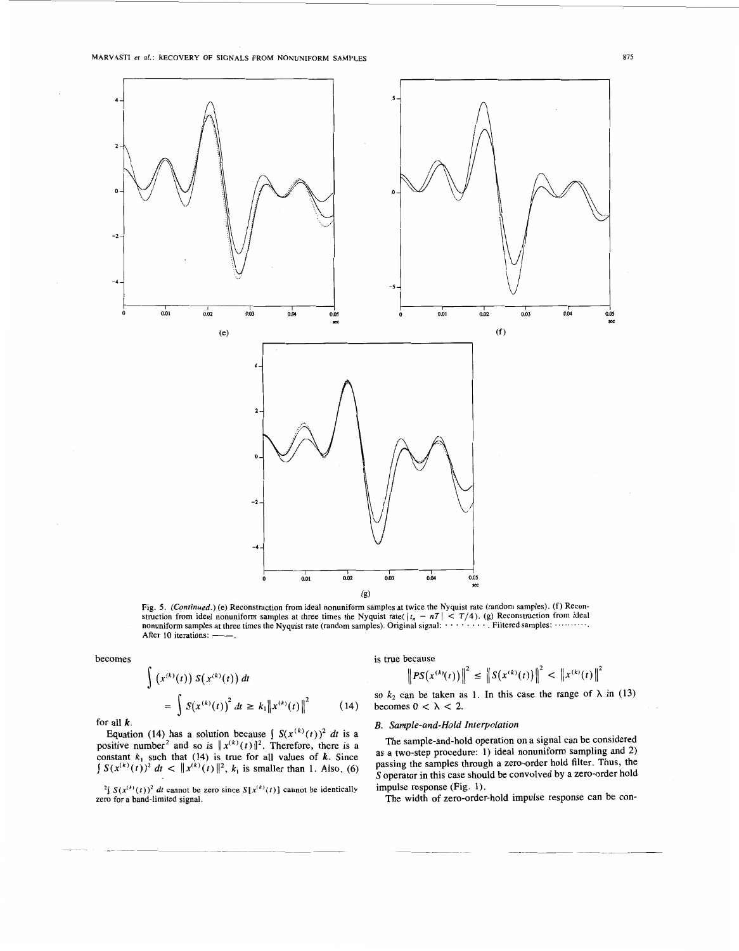

[Fig.](#page-2-0) *5. (Conrinued.)* (e) Reconstruction from ideal nonuniform samples at twice the Nyquist rate (random samples). (f) Reconstruction from ideal nonuniform samples at three times the Nyquist rate( $|t_n - nT| < T/4$ ). (g) Reconstruction from ideal nonuniform samples at three times the Nyquist rate (random samples). Original signal: ................. After 10 iterations: -

becomes

$$
\int (x^{(k)}(t)) S(x^{(k)}(t)) dt
$$
  
= 
$$
\int S(x^{(k)}(t))^{2} dt \geq k_{1} ||x^{(k)}(t)||^{2}
$$
 (14)

for all  $k$ .

Equation (14) has a solution because  $\int S(x^{(k)}(t))^2 dt$  is a positive number<sup>2</sup> and so is  $||x^{(k)}(t)||^2$ . Therefore, there is a constant  $k_1$  such that (14) is true for all values of  $k$ . Since  $\int S(x^{(k)}(t))^2 dt < |x^{(k)}(t)|^2$ ,  $k_1$  is smaller than 1. Also, (6)

<sup>2</sup> $\int$  *S*( $x^{(k)}(t)$ )<sup>2</sup> *dt* cannot be zero since *S*[ $x^{(k)}(t)$ ] cannot be identically zero for a band-limited signal.

## is true because

$$
\left\| PS(x^{(k)}(t)) \right\|^2 \leq \left\| S(x^{(k)}(t)) \right\|^2 < \left\| x^{(k)}(t) \right\|^2
$$

so  $k_2$  can be taken as 1. In this case the range of  $\lambda$  in (13) becomes  $0 < \lambda < 2$ .

### *B. Sample-and-Hold Interpolation*

The sample-and-hold operation on a signal can be considered as a two-step procedure: 1) ideal nonuniform sampling and 2) passing the samples through a zero-order hold filter. Thus, the S operator in this case should be convolved by a zero-order hold impulse response (Fig. 1).

The width of zero-order-hold impulse response can be con-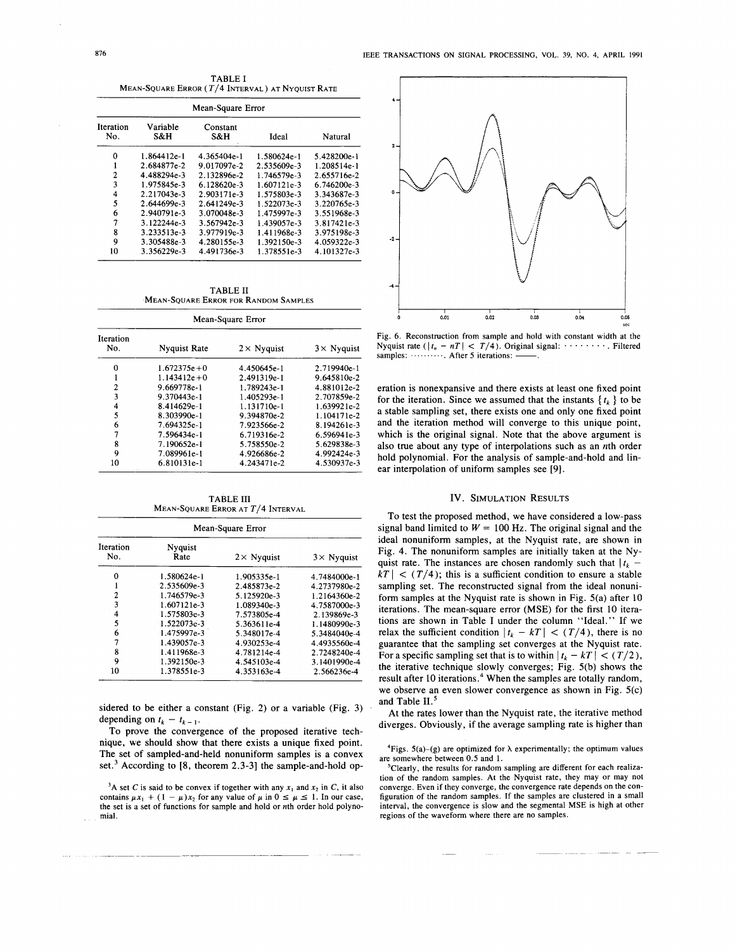TABLE I MEAN-SQUARE ERROR (T/4 INTERVAL) AT NYQUIST RATE

| Mean-Square Error |                 |                 |             |             |  |  |
|-------------------|-----------------|-----------------|-------------|-------------|--|--|
| Iteration<br>No.  | Variable<br>S&H | Constant<br>S&H | Ideal       | Natural     |  |  |
| 0                 | 1.864412e-1     | 4.365404e-1     | 1.580624e-1 | 5.428200e-1 |  |  |
| 1                 | 2.684877e-2     | 9.017097e-2     | 2.535609e-3 | 1.208514e-1 |  |  |
| 2                 | 4.488294e-3     | 2.132896e-2     | 1.746579e-3 | 2.655716e-2 |  |  |
| 3                 | 1.975845e-3     | 6.128620e-3     | 1.607121e-3 | 6.746200e-3 |  |  |
| 4                 | 2.217043e-3     | 2.903171e-3     | 1.575803e-3 | 3.343687e-3 |  |  |
| 5                 | 2.644699e-3     | 2.641249e-3     | 1.522073e-3 | 3.220765e-3 |  |  |
| 6                 | 2.940791e-3     | 3.070048e-3     | 1.475997e-3 | 3.551968e-3 |  |  |
| 7                 | 3.122244e-3     | 3.567942e-3     | 1.439057e-3 | 3.817421e-3 |  |  |
| 8                 | 3.233513e-3     | 3.977919e-3     | 1.411968e-3 | 3.975198e-3 |  |  |
| 9                 | 3.305488e-3     | 4.280155e-3     | 1.392150e-3 | 4.059322e-3 |  |  |
| 10                | 3.356229e-3     | 4.491736e-3     | 1.378551e-3 | 4.101327e-3 |  |  |

TABLE I1 MEAN-SQUARE ERROR FOR RANDOM SAMPLES

| Mean-Square Error |                     |                    |                    |  |  |  |
|-------------------|---------------------|--------------------|--------------------|--|--|--|
| Iteration<br>No.  | <b>Nyquist Rate</b> | $2 \times$ Nyquist | $3 \times$ Nyquist |  |  |  |
| 0                 | $1.672375e + 0$     | 4.450645e-1        | 2.719940e-1        |  |  |  |
|                   | $1.143412e + 0$     | 2.491319e-1        | 9.645810e-2        |  |  |  |
| 2                 | 9.669778e-1         | 1.789243e-1        | 4.881012e-2        |  |  |  |
| 3                 | 9.370443e-1         | 1.405293e-1        | 2.707859e-2        |  |  |  |
| 4                 | 8.414629e-1         | 1.131710e-1        | 1.639921e-2        |  |  |  |
| 5                 | 8.303990e-1         | 9.394870e-2        | 1.104171e-2        |  |  |  |
| 6                 | 7.694325e-1         | 7.923566e-2        | 8.194261e-3        |  |  |  |
| 7                 | 7.596434e-1         | 6.719316e-2        | 6.596941e-3        |  |  |  |
| 8                 | 7.190652e-1         | 5.758550e-2        | 5.629838e-3        |  |  |  |
| 9                 | 7.089961e-1         | 4.926686e-2        | 4.992424e-3        |  |  |  |
| 10                | 6.810131e-1         | 4.243471e-2        | 4.530937e-3        |  |  |  |

**TABLE III** MEAN-SQUARE ERROR AT T/4 INTERVAL

| Mean-Square Error |                 |                    |                    |  |  |  |
|-------------------|-----------------|--------------------|--------------------|--|--|--|
| Iteration<br>No.  | Nyquist<br>Rate | $2 \times$ Nyquist | $3 \times$ Nyquist |  |  |  |
| Ω                 | 1.580624e-1     | 1.905335e-1        | 4.7484000e-1       |  |  |  |
|                   | 2.535609e-3     | 2.485873e-2        | 4.2737980e-2       |  |  |  |
| 2                 | 1.746579e-3     | 5.125920e-3        | 1.2164360e-2       |  |  |  |
| 3                 | 1.607121e-3     | 1.089340e-3        | 4.7587000e-3       |  |  |  |
|                   | 1.575803e-3     | 7.573805e-4        | 2.139869e-3        |  |  |  |
| 5                 | 1.522073e-3     | 5.363611e-4        | 1.1480990e-3       |  |  |  |
| 6                 | 1.475997e-3     | 5.348017e-4        | 5.3484040e-4       |  |  |  |
| 7                 | 1.439057e-3     | 4.930253e-4        | 4.4935560e-4       |  |  |  |
| 8                 | 1.411968e-3     | 4.781214e-4        | 2.7248240e-4       |  |  |  |
| 9                 | 1.392150e-3     | 4.545103e-4        | 3.1401990e-4       |  |  |  |
| 10                | 1.378551e-3     | 4.353163e-4        | 2.566236e-4        |  |  |  |

sidered **to** be either a constant (Fig. *2)* or a variable (Fig. **3)**  depending on  $t_k - t_{k-1}$ .

To prove the convergence of the proposed iterative technique, we should show that there exists a unique fixed point. The set of sampled-and-held nonuniform samples is a convex set.3 According to **[8,** theorem **2.3-31** the sample-and-hold op-

<sup>3</sup>A set *C* is said to be convex if together with any  $x_1$  and  $x_2$  in *C*, it also contains  $\mu x_1 + (1 - \mu)x_2$  for any value of  $\mu$  in  $0 \le \mu \le 1$ . In our case, the set is a set of functions for sample and hold **or** nth order hold polynomial.



Fig. 6. Reconstruction from sample and hold with constant width at the Nyquist rate ( $|t_n - nT| < T/4$ ). Original signal: . . . . . . . . . Filtered samples: ............ After 5 iterations:

eration is nonexpansive and there exists at least one fixed point for the iteration. Since we assumed that the instants  $\{t_k\}$  to be a stable sampling set, there exists one and only one fixed point and the iteration method will converge to this unique point, which is the original signal. Note that the above argument is also true about any type of interpolations such as an nth order hold polynomial. For the analysis of sample-and-hold and linear interpolation of uniform samples see **[9].** 

### **IV. SIMULATION RESULTS**

To test the proposed method, we have considered a low-pass signal band limited to  $W = 100$  Hz. The original signal and the ideal nonuniform samples, **at** the Nyquist rate, are shown in Fig. **4.** The nonuniform samples are initially taken at the Nyquist rate. The instances are chosen randomly such that  $|t_k |kT| < (T/4)$ ; this is a sufficient condition to ensure a stable sampling set. The reconstructed signal from the ideal nonuniform samples at the Nyquist rate is shown in Fig. 5(a) after 10 iterations. The mean-square error **(MSE)** for the first 10 iterations are shown in Table **I** under the column "Ideal." If we relax the sufficient condition  $|t_k - kT| < (T/4)$ , there is no guarantee that the sampling set converges **at** the Nyquist rate. For a specific sampling set that is to within  $|t_k - kT| < (T/2)$ , the iterative technique slowly converges; Fig. 5(b) shows the result after 10 iterations.<sup>4</sup> When the samples are totally random, we observe an even slower convergence as shown in Fig. 5(c) and Table II.<sup>5</sup>

At the rates lower than the Nyquist rate, the iterative method diverges. Obviously, if the average sampling rate is higher than

<sup>4</sup>Figs. 5(a)–(g) are optimized for  $\lambda$  experimentally; the optimum values are somewhere between 0.5 and 1.

'Clearly, the results **for** random sampling are different for each realization of the random samples. At the Nyquist rate, they may or may not converge. Even if they converge, the convergence rate depends on the configuration of the random samples. If **the** samples are clustered in a small interval, the convergence is slow and the segmental MSE is high at other regions of the waveform where there are no samples.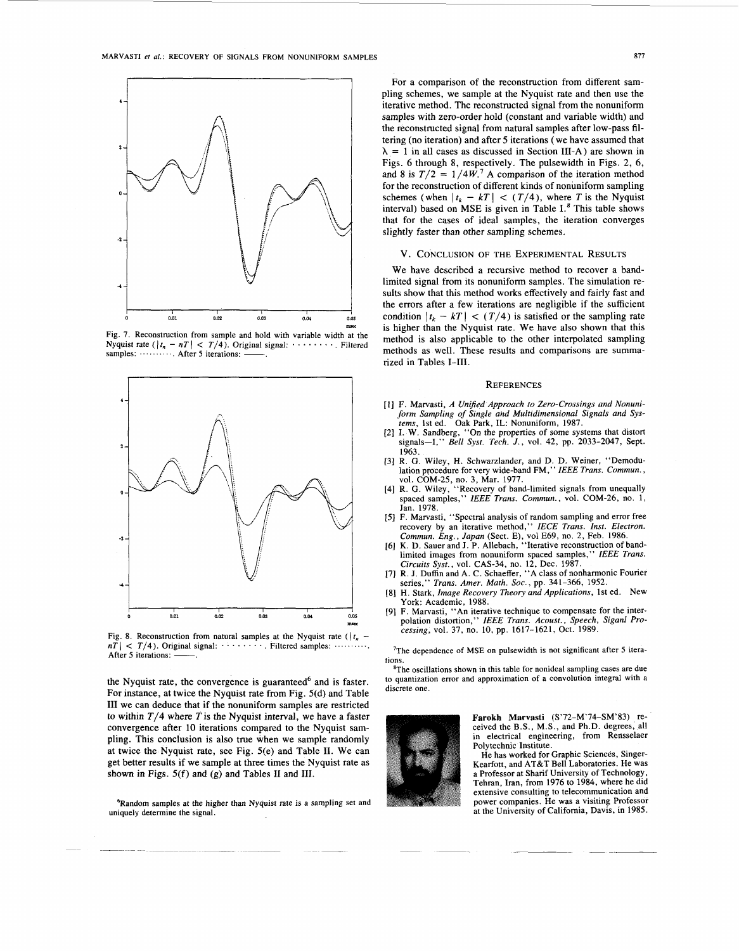

Fig. 7. Reconstruction from sample and hold with variable width at the Nyquist rate ( $|t_n - nT| < T/4$ ). Original signal: ........ Filtered samples:  $\cdots$  . . . . . . . . After 5 iterations:



Fig. 8. Reconstruction from natural samples at the Nyquist rate ( $\left| t_n \right|$   $nT$  | <  $T/4$ ). Original signal: . . . . . . . . Filtered samples: After *5* iterations:  $\frac{1}{2}$ 

the Nyquist rate, the convergence is guaranteed $6$  and is faster. For instance, at twice the Nyquist rate from Fig. 5(d) and Table **111** we can deduce that if the nonuniform samples are restricted to within  $T/4$  where T is the Nyquist interval, we have a faster convergence after 10 iterations compared to the Nyquist sampling. This conclusion is also true when we sample randomly at twice the Nyquist rate, see Fig. 5(e) and Table **11.** We can get better results if we sample at three times the Nyquist rate as shown in Figs. 5(f) and (g) and Tables **I1** and **111.** 

6Random samples at the higher than Nyquist rate is a sampling set and uniquely determine the signal.

For a comparison of the reconstruction from different sampling schemes, we sample at the Nyquist rate and then use the iterative method. The reconstructed signal from the nonuniform samples with zero-order hold (constant and variable width) and the reconstructed signal from natural samples after low-pass filtering (no iteration) and after 5 iterations (we have assumed that  $\lambda = 1$  in all cases as discussed in Section III-A) are shown in Figs. *6* through 8, respectively. The pulsewidth in Figs. 2, **6,**  and 8 is  $T/2 = 1/4W$ .<sup>7</sup> A comparison of the iteration method for the reconstruction of different kinds of nonuniform sampling schemes (when  $|t_k - kT| < (T/4)$ , where T is the Nyquist interval) based on MSE is given in Table I.<sup>8</sup> This table shows that for the cases of ideal samples, the iteration converges slightly faster than other sampling schemes.

#### V. CONCLUSION OF THE EXPERIMENTAL RESULTS

We have described a recursive method to recover a bandlimited signal from its nonuniform samples. The simulation results show that this method works effectively and fairly fast and the errors after a few iterations are negligible if the sufficient condition  $|t_k - kT| < (T/4)$  is satisfied or the sampling rate is higher than the Nyquist rate. We have also shown that this method is also applicable to the other interpolated sampling methods as well. These results and comparisons are summarized in Tables **1-111.** 

#### **REFERENCES**

- [l] F. Marvasti, *A Unified Approach to Zero-Crossings and Nonuniform Sampling of Single and Multidimensional Signals and Sys-tems,* 1st ed. Oak Park, IL: Nonuniform, 1987.
- [2] I. **W.** Sandberg, "On the properties of some systems that distort signals-I," Bell *Syst. Tech. J.,* vol. 42, pp. 2033-2047, Sept. 1963.
- [3] R. **0.** Wiley, H. Schwarzlander, and D. D. Weiner, "Demodulation procedure for very wide-band FM," *IEEE Trans. Commun.,*
- vol. COM-25, no. 3, Mar. 1977. [4] R. G. Wiley, "Recovery of band-limited signals from unequally spaced samples," *IEEE Trans. Commun.,* vol. COM-26, no. **1,**  Jan. 1978.
- [5] F. Marvasti, "Spectral analysis of random sampling and error free recovery by an iterative method," IECE Trans. Inst. Electron.
- *Commun. Eng., Japan* (Sect. E), vol E69, no. 2, Feb. 1986.<br>[6] K. D. Sauer and J. P. Allebach, "Iterative reconstruction of bandlimited images from nonuniform spaced samples," IEEE Trans. *Circuits Syst.,* vol. CAS-34, no. 12, Dec. 1987.
- [7] R. J. Duffin and A. C. Schaeffer, "A class of nonharmonic Fourier series," *Trans. Amer. Math. Soc.,* pp. 341-366, 1952.
- [8] H. Stark, *Image Recovery Theory and Applications,* 1st ed. New York: Academic, 1988.
- [9] F. Marvasti, "An iterative technique to compensate for the inter-polation distortion," *IEEE Trans. Acoust., Speech, Siganl Pro-cessing,* vol. 37, no. **10,** pp. 1617-1621, Oct. 1989.

'The dependence of MSE on pulsewidth is not significant after **5** iterations.

<sup>8</sup>The oscillations shown in this table for nonideal sampling cases are due to quantization error and approximation of a convolution integral with a discrete one.



Farokh Marvasti (S'72-M'74-SM'83) received the B.S., M.S., and Ph.D. degrees, all in electrical engineering, from Rensselaer Polytechnic Institute.

He has worked for Graphic Sciences, Singer-Kearfott, and AT&T Bell Laboratories. He was a Professor at Sharif University of Technology, Tehran, Iran, from 1976 to 1984, where he did extensive consulting to telecommunication and power companies. He was a visiting Professor at the University of California, Davis, in 1985.